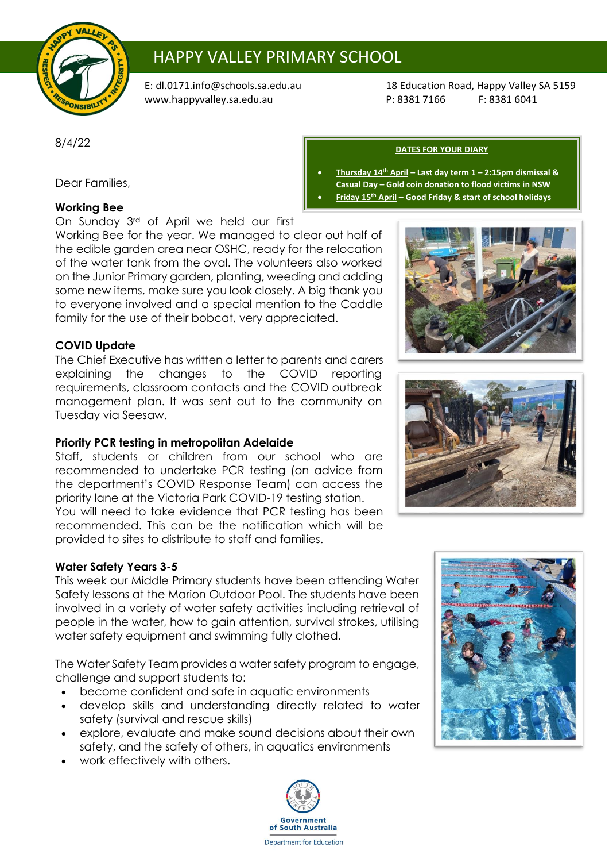

# HAPPY VALLEY PRIMARY SCHOOL

[www.happyvalley.sa.edu.au](http://www.happyvalley.sa.edu.au/) P: 8381 7166

E: [dl.0171.info@schools.sa.edu.au](mailto:dl.0171.info@schools.sa.edu.au) 18 Education Road, Happy Valley SA 5159<br>www.happyvalley.sa.edu.au 1990 P: 8381 7166 F: 8381 6041

8/4/22

Dear Families,

## **Working Bee**

On Sunday 3rd of April we held our first

Working Bee for the year. We managed to clear out half of the edible garden area near OSHC, ready for the relocation of the water tank from the oval. The volunteers also worked on the Junior Primary garden, planting, weeding and adding some new items, make sure you look closely. A big thank you to everyone involved and a special mention to the Caddle family for the use of their bobcat, very appreciated.

### **COVID Update**

The Chief Executive has written a letter to parents and carers explaining the changes to the COVID reporting requirements, classroom contacts and the COVID outbreak management plan. It was sent out to the community on Tuesday via Seesaw.

## **Priority PCR testing in metropolitan Adelaide**

Staff, students or children from our school who are recommended to undertake PCR testing (on advice from the department's COVID Response Team) can access the priority lane at the Victoria Park COVID-19 testing station. You will need to take evidence that PCR testing has been recommended. This can be the notification which will be provided to sites to distribute to staff and families.

#### **Water Safety Years 3-5**

This week our Middle Primary students have been attending Water Safety lessons at the Marion Outdoor Pool. The students have been involved in a variety of water safety activities including retrieval of people in the water, how to gain attention, survival strokes, utilising water safety equipment and swimming fully clothed.

The Water Safety Team provides a water safety program to engage, challenge and support students to:

- become confident and safe in aquatic environments
- develop skills and understanding directly related to water safety (survival and rescue skills)
- explore, evaluate and make sound decisions about their own safety, and the safety of others, in aquatics environments
- work effectively with others.









**DATES FOR YOUR DIARY**

- **Thursday 14th April – Last day term 1 – 2:15pm dismissal & Casual Day – Gold coin donation to flood victims in NSW**
- **Friday 15th April – Good Friday & start of school holidays**